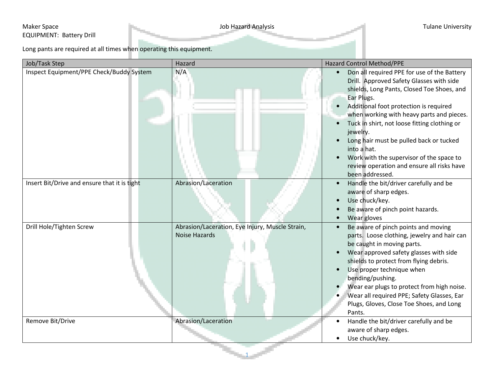## Maker Space **The Contract of the Contract Analysis** Job Hazard Analysis **Tulane University** EQUIPMENT: Battery Drill

Long pants are required at all times when operating this equipment.

| Job/Task Step                                | Hazard                                                                  | Hazard Control Method/PPE                                                                                                                                                                                                                                                                                                                                                                                                                                                                  |
|----------------------------------------------|-------------------------------------------------------------------------|--------------------------------------------------------------------------------------------------------------------------------------------------------------------------------------------------------------------------------------------------------------------------------------------------------------------------------------------------------------------------------------------------------------------------------------------------------------------------------------------|
| Inspect Equipment/PPE Check/Buddy System     | N/A                                                                     | Don all required PPE for use of the Battery<br>Drill. Approved Safety Glasses with side<br>shields, Long Pants, Closed Toe Shoes, and<br>Ear Plugs.<br>Additional foot protection is required<br>$\bullet$<br>when working with heavy parts and pieces.<br>Tuck in shirt, not loose fitting clothing or<br>jewelry.<br>Long hair must be pulled back or tucked<br>into a hat.<br>Work with the supervisor of the space to<br>review operation and ensure all risks have<br>been addressed. |
| Insert Bit/Drive and ensure that it is tight | Abrasion/Laceration                                                     | Handle the bit/driver carefully and be<br>$\bullet$<br>aware of sharp edges.<br>Use chuck/key.<br>Be aware of pinch point hazards.<br>Wear gloves                                                                                                                                                                                                                                                                                                                                          |
| Drill Hole/Tighten Screw                     | Abrasion/Laceration, Eye Injury, Muscle Strain,<br><b>Noise Hazards</b> | Be aware of pinch points and moving<br>parts. Loose clothing, jewelry and hair can<br>be caught in moving parts.<br>Wear approved safety glasses with side<br>shields to protect from flying debris.<br>Use proper technique when<br>bending/pushing.<br>Wear ear plugs to protect from high noise.<br>Wear all required PPE; Safety Glasses, Ear<br>Plugs, Gloves, Close Toe Shoes, and Long<br>Pants.                                                                                    |
| Remove Bit/Drive                             | Abrasion/Laceration                                                     | Handle the bit/driver carefully and be<br>aware of sharp edges.<br>Use chuck/key.                                                                                                                                                                                                                                                                                                                                                                                                          |

1